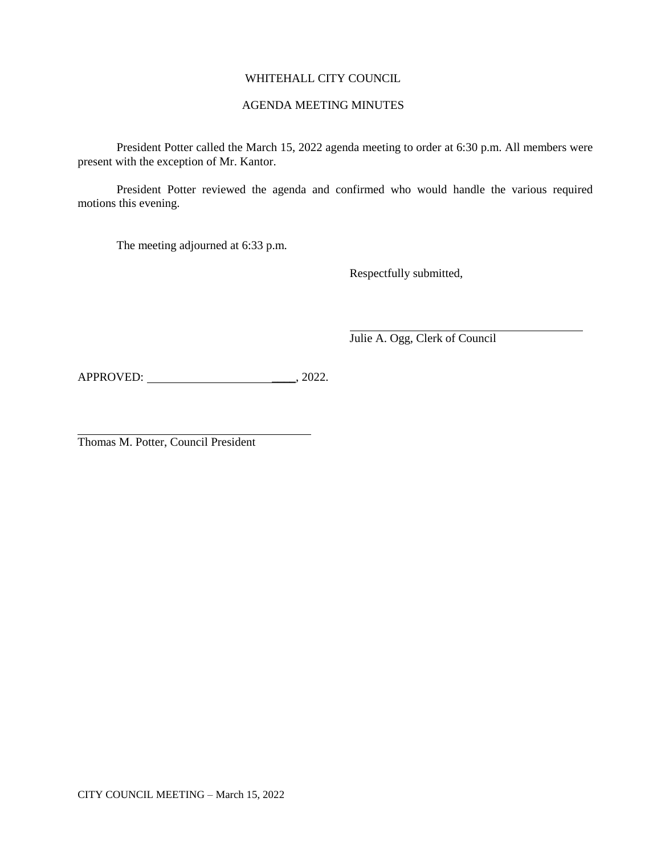# WHITEHALL CITY COUNCIL

### AGENDA MEETING MINUTES

President Potter called the March 15, 2022 agenda meeting to order at 6:30 p.m. All members were present with the exception of Mr. Kantor.

President Potter reviewed the agenda and confirmed who would handle the various required motions this evening.

The meeting adjourned at 6:33 p.m.

Respectfully submitted,

Julie A. Ogg, Clerk of Council

APPROVED: \_\_\_\_, 2022.

Thomas M. Potter, Council President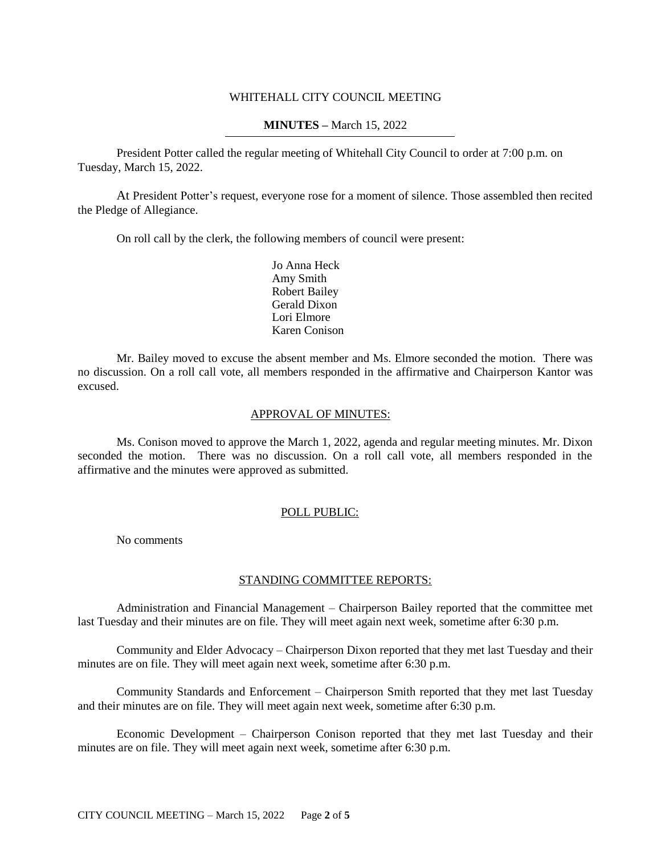### WHITEHALL CITY COUNCIL MEETING

### **MINUTES –** March 15, 2022

President Potter called the regular meeting of Whitehall City Council to order at 7:00 p.m. on Tuesday, March 15, 2022.

At President Potter's request, everyone rose for a moment of silence. Those assembled then recited the Pledge of Allegiance.

On roll call by the clerk, the following members of council were present:

Jo Anna Heck Amy Smith Robert Bailey Gerald Dixon Lori Elmore Karen Conison

Mr. Bailey moved to excuse the absent member and Ms. Elmore seconded the motion. There was no discussion. On a roll call vote, all members responded in the affirmative and Chairperson Kantor was excused.

#### APPROVAL OF MINUTES:

Ms. Conison moved to approve the March 1, 2022, agenda and regular meeting minutes. Mr. Dixon seconded the motion. There was no discussion. On a roll call vote, all members responded in the affirmative and the minutes were approved as submitted.

#### POLL PUBLIC:

No comments

#### STANDING COMMITTEE REPORTS:

Administration and Financial Management – Chairperson Bailey reported that the committee met last Tuesday and their minutes are on file. They will meet again next week, sometime after 6:30 p.m.

Community and Elder Advocacy – Chairperson Dixon reported that they met last Tuesday and their minutes are on file. They will meet again next week, sometime after 6:30 p.m.

Community Standards and Enforcement – Chairperson Smith reported that they met last Tuesday and their minutes are on file. They will meet again next week, sometime after 6:30 p.m.

Economic Development – Chairperson Conison reported that they met last Tuesday and their minutes are on file. They will meet again next week, sometime after 6:30 p.m.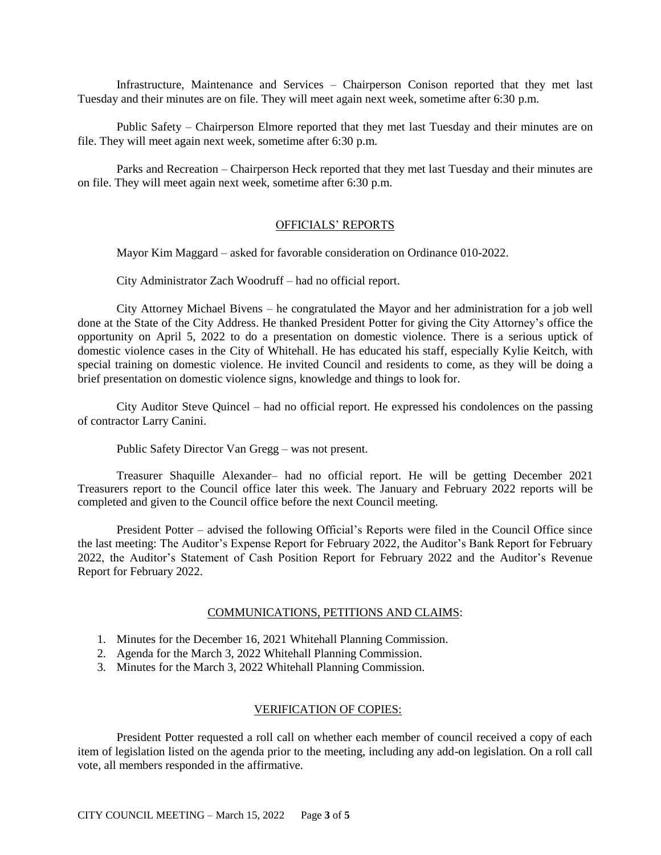Infrastructure, Maintenance and Services – Chairperson Conison reported that they met last Tuesday and their minutes are on file. They will meet again next week, sometime after 6:30 p.m.

Public Safety – Chairperson Elmore reported that they met last Tuesday and their minutes are on file. They will meet again next week, sometime after 6:30 p.m.

Parks and Recreation – Chairperson Heck reported that they met last Tuesday and their minutes are on file. They will meet again next week, sometime after 6:30 p.m.

#### OFFICIALS' REPORTS

Mayor Kim Maggard – asked for favorable consideration on Ordinance 010-2022.

City Administrator Zach Woodruff – had no official report.

City Attorney Michael Bivens – he congratulated the Mayor and her administration for a job well done at the State of the City Address. He thanked President Potter for giving the City Attorney's office the opportunity on April 5, 2022 to do a presentation on domestic violence. There is a serious uptick of domestic violence cases in the City of Whitehall. He has educated his staff, especially Kylie Keitch, with special training on domestic violence. He invited Council and residents to come, as they will be doing a brief presentation on domestic violence signs, knowledge and things to look for.

City Auditor Steve Quincel – had no official report. He expressed his condolences on the passing of contractor Larry Canini.

Public Safety Director Van Gregg – was not present.

Treasurer Shaquille Alexander– had no official report. He will be getting December 2021 Treasurers report to the Council office later this week. The January and February 2022 reports will be completed and given to the Council office before the next Council meeting.

President Potter – advised the following Official's Reports were filed in the Council Office since the last meeting: The Auditor's Expense Report for February 2022, the Auditor's Bank Report for February 2022, the Auditor's Statement of Cash Position Report for February 2022 and the Auditor's Revenue Report for February 2022.

#### COMMUNICATIONS, PETITIONS AND CLAIMS:

- 1. Minutes for the December 16, 2021 Whitehall Planning Commission.
- 2. Agenda for the March 3, 2022 Whitehall Planning Commission.
- 3. Minutes for the March 3, 2022 Whitehall Planning Commission.

#### VERIFICATION OF COPIES:

President Potter requested a roll call on whether each member of council received a copy of each item of legislation listed on the agenda prior to the meeting, including any add-on legislation. On a roll call vote, all members responded in the affirmative.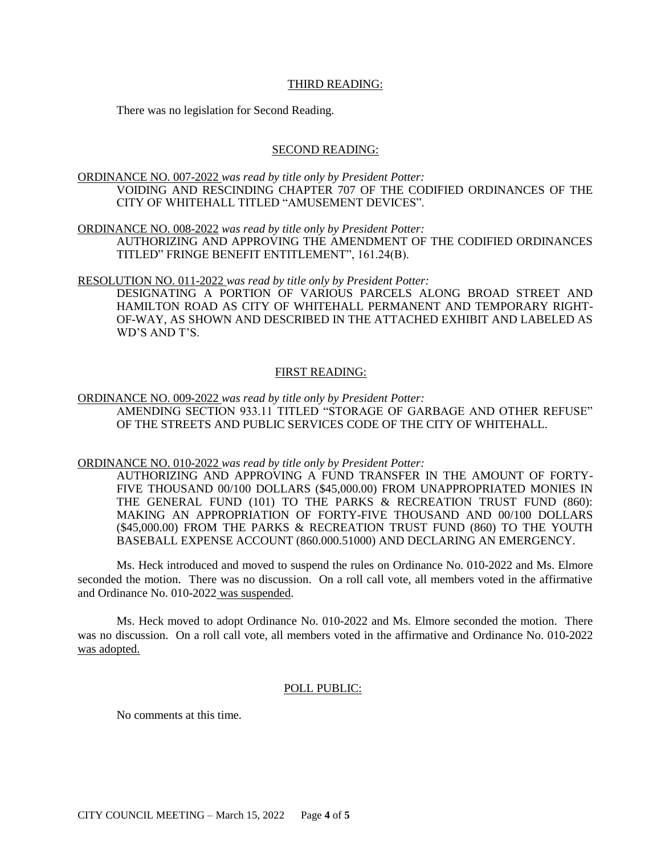### THIRD READING:

There was no legislation for Second Reading.

#### SECOND READING:

ORDINANCE NO. 007-2022 *was read by title only by President Potter:* VOIDING AND RESCINDING CHAPTER 707 OF THE CODIFIED ORDINANCES OF THE CITY OF WHITEHALL TITLED "AMUSEMENT DEVICES".

ORDINANCE NO. 008-2022 *was read by title only by President Potter:*

AUTHORIZING AND APPROVING THE AMENDMENT OF THE CODIFIED ORDINANCES TITLED" FRINGE BENEFIT ENTITLEMENT", 161.24(B).

RESOLUTION NO. 011-2022 *was read by title only by President Potter:*

DESIGNATING A PORTION OF VARIOUS PARCELS ALONG BROAD STREET AND HAMILTON ROAD AS CITY OF WHITEHALL PERMANENT AND TEMPORARY RIGHT-OF-WAY, AS SHOWN AND DESCRIBED IN THE ATTACHED EXHIBIT AND LABELED AS WD'S AND T'S.

### FIRST READING:

ORDINANCE NO. 009-2022 *was read by title only by President Potter:* AMENDING SECTION 933.11 TITLED "STORAGE OF GARBAGE AND OTHER REFUSE" OF THE STREETS AND PUBLIC SERVICES CODE OF THE CITY OF WHITEHALL.

ORDINANCE NO. 010-2022 *was read by title only by President Potter:*

AUTHORIZING AND APPROVING A FUND TRANSFER IN THE AMOUNT OF FORTY-FIVE THOUSAND 00/100 DOLLARS (\$45,000.00) FROM UNAPPROPRIATED MONIES IN THE GENERAL FUND (101) TO THE PARKS & RECREATION TRUST FUND (860): MAKING AN APPROPRIATION OF FORTY-FIVE THOUSAND AND 00/100 DOLLARS (\$45,000.00) FROM THE PARKS & RECREATION TRUST FUND (860) TO THE YOUTH BASEBALL EXPENSE ACCOUNT (860.000.51000) AND DECLARING AN EMERGENCY.

Ms. Heck introduced and moved to suspend the rules on Ordinance No. 010-2022 and Ms. Elmore seconded the motion. There was no discussion. On a roll call vote, all members voted in the affirmative and Ordinance No. 010-2022 was suspended.

Ms. Heck moved to adopt Ordinance No. 010-2022 and Ms. Elmore seconded the motion. There was no discussion. On a roll call vote, all members voted in the affirmative and Ordinance No. 010-2022 was adopted.

### POLL PUBLIC:

No comments at this time.